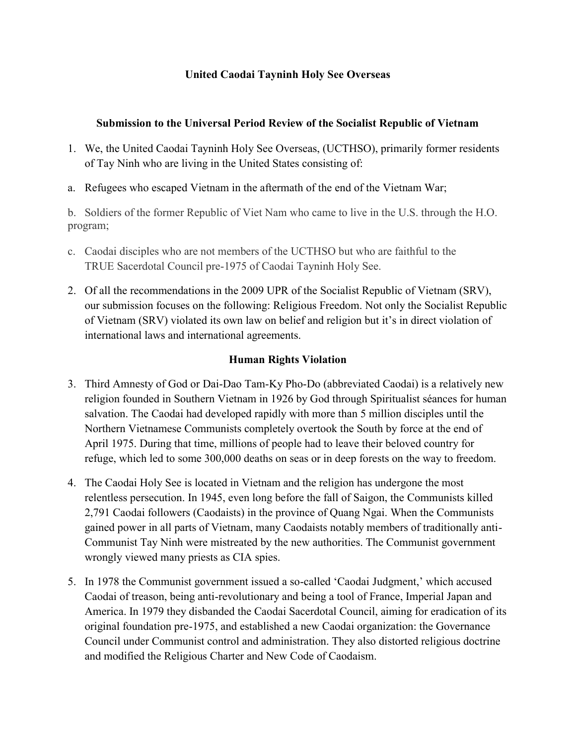## **United Caodai Tayninh Holy See Overseas**

## **Submission to the Universal Period Review of the Socialist Republic of Vietnam**

- 1. We, the United Caodai Tayninh Holy See Overseas, (UCTHSO), primarily former residents of Tay Ninh who are living in the United States consisting of:
- a. Refugees who escaped Vietnam in the aftermath of the end of the Vietnam War;

b. Soldiers of the former Republic of Viet Nam who came to live in the U.S. through the H.O. program;

- c. Caodai disciples who are not members of the UCTHSO but who are faithful to the TRUE Sacerdotal Council pre-1975 of Caodai Tayninh Holy See.
- 2. Of all the recommendations in the 2009 UPR of the Socialist Republic of Vietnam (SRV), our submission focuses on the following: Religious Freedom. Not only the Socialist Republic of Vietnam (SRV) violated its own law on belief and religion but it's in direct violation of international laws and international agreements.

## **Human Rights Violation**

- 3. Third Amnesty of God or Dai-Dao Tam-Ky Pho-Do (abbreviated Caodai) is a relatively new religion founded in Southern Vietnam in 1926 by God through Spiritualist séances for human salvation. The Caodai had developed rapidly with more than 5 million disciples until the Northern Vietnamese Communists completely overtook the South by force at the end of April 1975. During that time, millions of people had to leave their beloved country for refuge, which led to some 300,000 deaths on seas or in deep forests on the way to freedom.
- 4. The Caodai Holy See is located in Vietnam and the religion has undergone the most relentless persecution. In 1945, even long before the fall of Saigon, the Communists killed 2,791 Caodai followers (Caodaists) in the province of Quang Ngai. When the Communists gained power in all parts of Vietnam, many Caodaists notably members of traditionally anti-Communist Tay Ninh were mistreated by the new authorities. The Communist government wrongly viewed many priests as CIA spies.
- 5. In 1978 the Communist government issued a so-called 'Caodai Judgment,' which accused Caodai of treason, being anti-revolutionary and being a tool of France, Imperial Japan and America. In 1979 they disbanded the Caodai Sacerdotal Council, aiming for eradication of its original foundation pre-1975, and established a new Caodai organization: the Governance Council under Communist control and administration. They also distorted religious doctrine and modified the Religious Charter and New Code of Caodaism.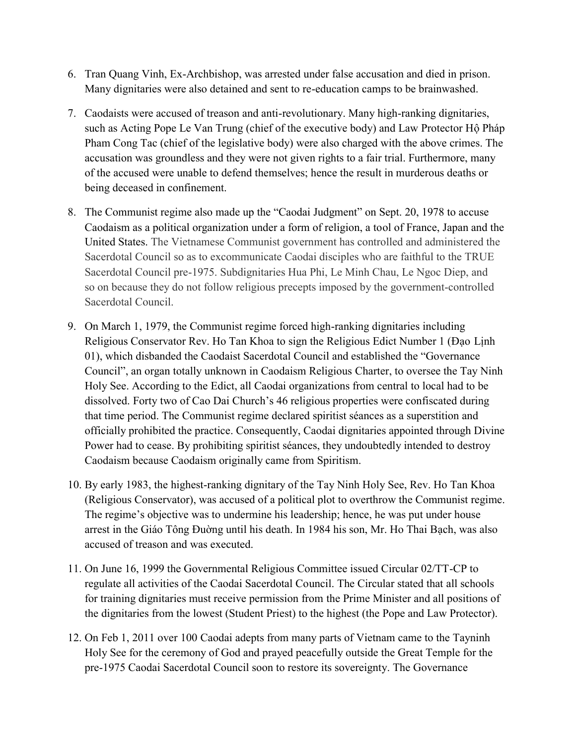- 6. Tran Quang Vinh, Ex-Archbishop, was arrested under false accusation and died in prison. Many dignitaries were also detained and sent to re-education camps to be brainwashed.
- 7. Caodaists were accused of treason and anti-revolutionary. Many high-ranking dignitaries, such as Acting Pope Le Van Trung (chief of the executive body) and Law Protector Hộ Pháp Pham Cong Tac (chief of the legislative body) were also charged with the above crimes. The accusation was groundless and they were not given rights to a fair trial. Furthermore, many of the accused were unable to defend themselves; hence the result in murderous deaths or being deceased in confinement.
- 8. The Communist regime also made up the "Caodai Judgment" on Sept. 20, 1978 to accuse Caodaism as a political organization under a form of religion, a tool of France, Japan and the United States. The Vietnamese Communist government has controlled and administered the Sacerdotal Council so as to excommunicate Caodai disciples who are faithful to the TRUE Sacerdotal Council pre-1975. Subdignitaries Hua Phi, Le Minh Chau, Le Ngoc Diep, and so on because they do not follow religious precepts imposed by the government-controlled Sacerdotal Council.
- 9. On March 1, 1979, the Communist regime forced high-ranking dignitaries including Religious Conservator Rev. Ho Tan Khoa to sign the Religious Edict Number 1 (Đạo Lịnh 01), which disbanded the Caodaist Sacerdotal Council and established the "Governance Council", an organ totally unknown in Caodaism Religious Charter, to oversee the Tay Ninh Holy See. According to the Edict, all Caodai organizations from central to local had to be dissolved. Forty two of Cao Dai Church's 46 religious properties were confiscated during that time period. The Communist regime declared spiritist séances as a superstition and officially prohibited the practice. Consequently, Caodai dignitaries appointed through Divine Power had to cease. By prohibiting spiritist séances, they undoubtedly intended to destroy Caodaism because Caodaism originally came from Spiritism.
- 10. By early 1983, the highest-ranking dignitary of the Tay Ninh Holy See, Rev. Ho Tan Khoa (Religious Conservator), was accused of a political plot to overthrow the Communist regime. The regime's objective was to undermine his leadership; hence, he was put under house arrest in the Giáo Tông Đuờng until his death. In 1984 his son, Mr. Ho Thai Bạch, was also accused of treason and was executed.
- 11. On June 16, 1999 the Governmental Religious Committee issued Circular 02/TT-CP to regulate all activities of the Caodai Sacerdotal Council. The Circular stated that all schools for training dignitaries must receive permission from the Prime Minister and all positions of the dignitaries from the lowest (Student Priest) to the highest (the Pope and Law Protector).
- 12. On Feb 1, 2011 over 100 Caodai adepts from many parts of Vietnam came to the Tayninh Holy See for the ceremony of God and prayed peacefully outside the Great Temple for the pre-1975 Caodai Sacerdotal Council soon to restore its sovereignty. The Governance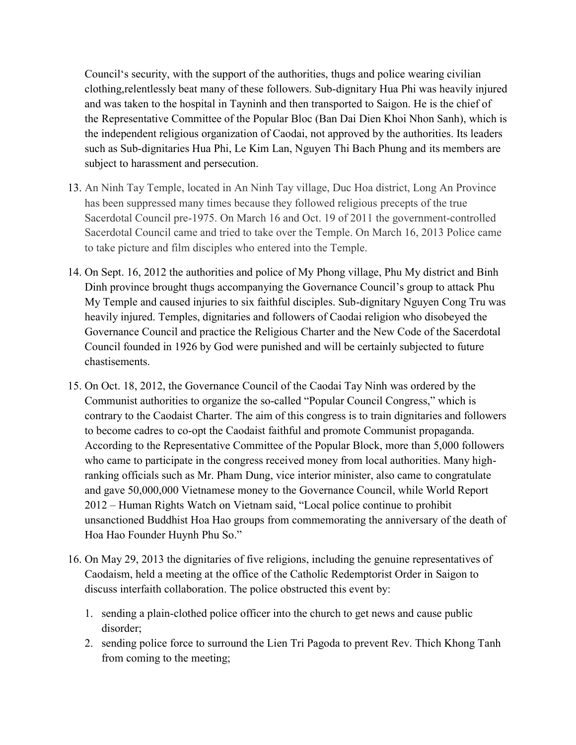Council's security, with the support of the authorities, thugs and police wearing civilian clothing,relentlessly beat many of these followers. Sub-dignitary Hua Phi was heavily injured and was taken to the hospital in Tayninh and then transported to Saigon. He is the chief of the Representative Committee of the Popular Bloc (Ban Dai Dien Khoi Nhon Sanh), which is the independent religious organization of Caodai, not approved by the authorities. Its leaders such as Sub-dignitaries Hua Phi, Le Kim Lan, Nguyen Thi Bach Phung and its members are subject to harassment and persecution.

- 13. An Ninh Tay Temple, located in An Ninh Tay village, Duc Hoa district, Long An Province has been suppressed many times because they followed religious precepts of the true Sacerdotal Council pre-1975. On March 16 and Oct. 19 of 2011 the government-controlled Sacerdotal Council came and tried to take over the Temple. On March 16, 2013 Police came to take picture and film disciples who entered into the Temple.
- 14. On Sept. 16, 2012 the authorities and police of My Phong village, Phu My district and Binh Dinh province brought thugs accompanying the Governance Council's group to attack Phu My Temple and caused injuries to six faithful disciples. Sub-dignitary Nguyen Cong Tru was heavily injured. Temples, dignitaries and followers of Caodai religion who disobeyed the Governance Council and practice the Religious Charter and the New Code of the Sacerdotal Council founded in 1926 by God were punished and will be certainly subjected to future chastisements.
- 15. On Oct. 18, 2012, the Governance Council of the Caodai Tay Ninh was ordered by the Communist authorities to organize the so-called "Popular Council Congress," which is contrary to the Caodaist Charter. The aim of this congress is to train dignitaries and followers to become cadres to co-opt the Caodaist faithful and promote Communist propaganda. According to the Representative Committee of the Popular Block, more than 5,000 followers who came to participate in the congress received money from local authorities. Many highranking officials such as Mr. Pham Dung, vice interior minister, also came to congratulate and gave 50,000,000 Vietnamese money to the Governance Council, while World Report 2012 – Human Rights Watch on Vietnam said, "Local police continue to prohibit unsanctioned Buddhist Hoa Hao groups from commemorating the anniversary of the death of Hoa Hao Founder Huynh Phu So."
- 16. On May 29, 2013 the dignitaries of five religions, including the genuine representatives of Caodaism, held a meeting at the office of the Catholic Redemptorist Order in Saigon to discuss interfaith collaboration. The police obstructed this event by:
	- 1. sending a plain-clothed police officer into the church to get news and cause public disorder;
	- 2. sending police force to surround the Lien Tri Pagoda to prevent Rev. Thich Khong Tanh from coming to the meeting;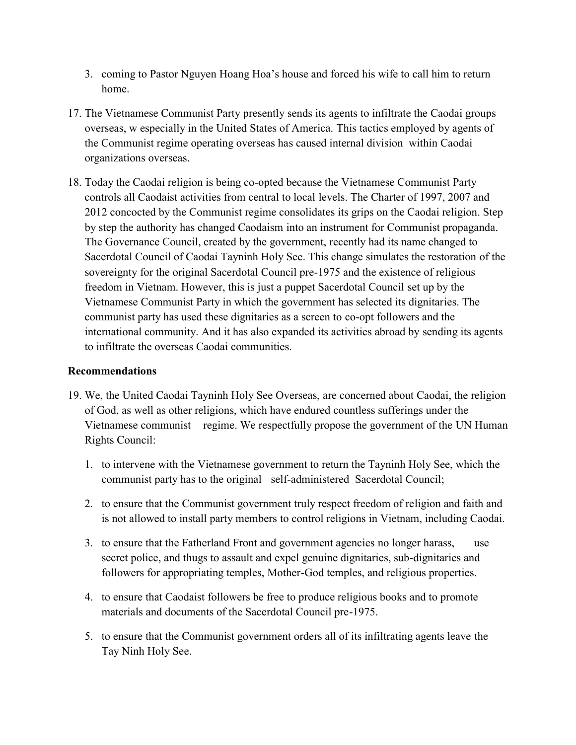- 3. coming to Pastor Nguyen Hoang Hoa's house and forced his wife to call him to return home.
- 17. The Vietnamese Communist Party presently sends its agents to infiltrate the Caodai groups overseas, w especially in the United States of America. This tactics employed by agents of the Communist regime operating overseas has caused internal division within Caodai organizations overseas.
- 18. Today the Caodai religion is being co-opted because the Vietnamese Communist Party controls all Caodaist activities from central to local levels. The Charter of 1997, 2007 and 2012 concocted by the Communist regime consolidates its grips on the Caodai religion. Step by step the authority has changed Caodaism into an instrument for Communist propaganda. The Governance Council, created by the government, recently had its name changed to Sacerdotal Council of Caodai Tayninh Holy See. This change simulates the restoration of the sovereignty for the original Sacerdotal Council pre-1975 and the existence of religious freedom in Vietnam. However, this is just a puppet Sacerdotal Council set up by the Vietnamese Communist Party in which the government has selected its dignitaries. The communist party has used these dignitaries as a screen to co-opt followers and the international community. And it has also expanded its activities abroad by sending its agents to infiltrate the overseas Caodai communities.

## **Recommendations**

- 19. We, the United Caodai Tayninh Holy See Overseas, are concerned about Caodai, the religion of God, as well as other religions, which have endured countless sufferings under the Vietnamese communist regime. We respectfully propose the government of the UN Human Rights Council:
	- 1. to intervene with the Vietnamese government to return the Tayninh Holy See, which the communist party has to the original self-administered Sacerdotal Council;
	- 2. to ensure that the Communist government truly respect freedom of religion and faith and is not allowed to install party members to control religions in Vietnam, including Caodai.
	- 3. to ensure that the Fatherland Front and government agencies no longer harass, use secret police, and thugs to assault and expel genuine dignitaries, sub-dignitaries and followers for appropriating temples, Mother-God temples, and religious properties.
	- 4. to ensure that Caodaist followers be free to produce religious books and to promote materials and documents of the Sacerdotal Council pre-1975.
	- 5. to ensure that the Communist government orders all of its infiltrating agents leave the Tay Ninh Holy See.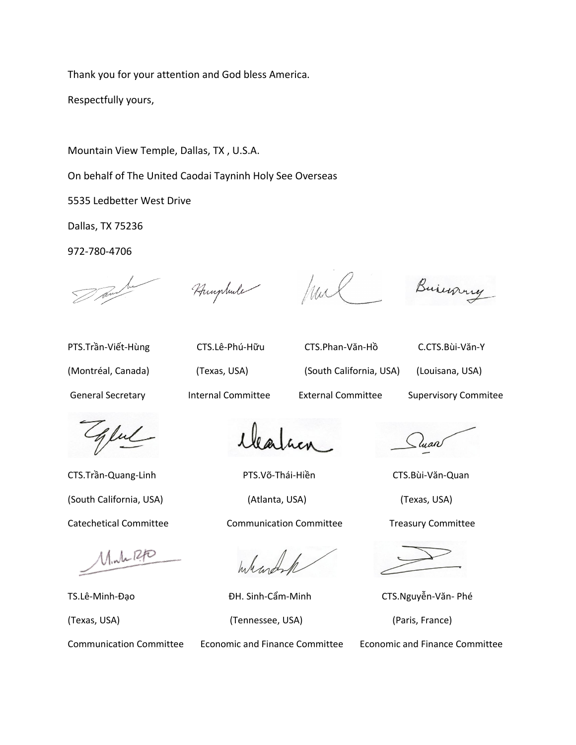Thank you for your attention and God bless America.

Respectfully yours,

Mountain View Temple, Dallas, TX , U.S.A.

On behalf of The United Caodai Tayninh Holy See Overseas

5535 Ledbetter West Drive

Dallas, TX 75236

972-780-4706

Humphule

hul

Busing

PTS.Trần-Viết-Hùng CTS.Lê-Phú-Hữu CTS.Phan-Văn-Hồ C.CTS.Bùi-Văn-Y

(Montréal, Canada) (Texas, USA) (South California, USA) (Louisana, USA)

General Secretary Internal Committee External Committee Supervisory Commitee

Jul

 $M_{1}M_{2}R_{1}D_{2}$ 

CTS.Trần-Quang-Linh PTS.Võ-Thái-Hiền CTS.Bùi-Văn-Quan (South California, USA) (Atlanta, USA) (Texas, USA) Catechetical Committee Communication Committee Treasury Committee

Whart

TS.Lê-Minh-Đạo **ĐH. Sinh-Cẩm-Minh CTS.Nguyễn-Văn-** Phé (Texas, USA) (Tennessee, USA) (Paris, France)

- luan

Communication Committee Economic and Finance Committee Economic and Finance Committee